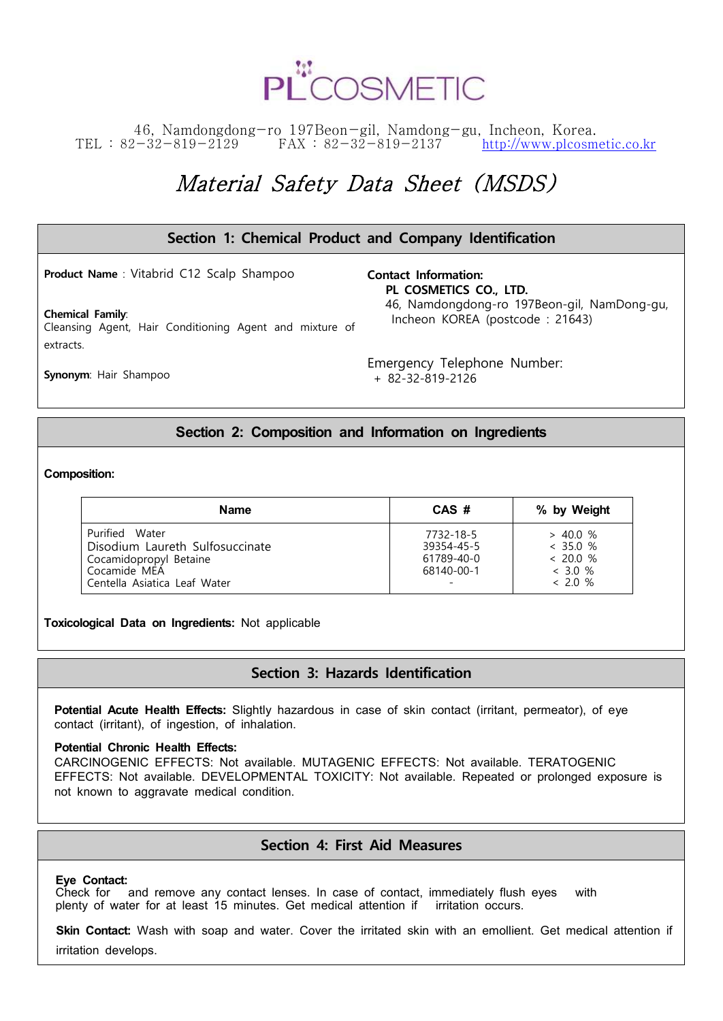

### 46, Namdongdong-ro 197Beon-gil, Namdong-gu, Incheon, Korea. TEL : 82-32-819-2129 FAX : 82-32-819-2137 <http://www.plcosmetic.co.kr>

# Material Safety Data Sheet (MSDS)

| Section 1: Chemical Product and Company Identification                             |                                                                                |  |
|------------------------------------------------------------------------------------|--------------------------------------------------------------------------------|--|
| <b>Product Name:</b> Vitabrid C12 Scalp Shampoo                                    | <b>Contact Information:</b><br>PL COSMETICS CO., LTD.                          |  |
| <b>Chemical Family:</b><br>Cleansing Agent, Hair Conditioning Agent and mixture of | 46, Namdongdong-ro 197Beon-gil, NamDong-gu,<br>Incheon KOREA (postcode: 21643) |  |
| extracts.                                                                          |                                                                                |  |
| <b>Synonym: Hair Shampoo</b>                                                       | Emergency Telephone Number:<br>$+ 82 - 32 - 819 - 2126$                        |  |

### **Section 2: Composition and Information on Ingredients**

#### **Composition:**

| Name                                                                                                                        | CAS #                                               | % by Weight                                                     |
|-----------------------------------------------------------------------------------------------------------------------------|-----------------------------------------------------|-----------------------------------------------------------------|
| Purified Water<br>Disodium Laureth Sulfosuccinate<br>Cocamidopropyl Betaine<br>Cocamide MEA<br>Centella Asiatica Leaf Water | 7732-18-5<br>39354-45-5<br>61789-40-0<br>68140-00-1 | $> 40.0 \%$<br>< 35.0 %<br>< 20.0 %<br>$< 3.0 \%$<br>$< 2.0 \%$ |

**Toxicological Data on Ingredients:** Not applicable

### **Section 3: Hazards Identification**

**Potential Acute Health Effects:** Slightly hazardous in case of skin contact (irritant, permeator), of eye contact (irritant), of ingestion, of inhalation.

#### **Potential Chronic Health Effects:**

CARCINOGENIC EFFECTS: Not available. MUTAGENIC EFFECTS: Not available. TERATOGENIC EFFECTS: Not available. DEVELOPMENTAL TOXICITY: Not available. Repeated or prolonged exposure is not known to aggravate medical condition.

### **Section 4: First Aid Measures**

#### **Eye Contact:**

Check for and remove any contact lenses. In case of contact, immediately flush eyes with plenty of water for at least 15 minutes. Get medical attention if irritation occurs.

 **Skin Contact:** Wash with soap and water. Cover the irritated skin with an emollient. Get medical attention if irritation develops.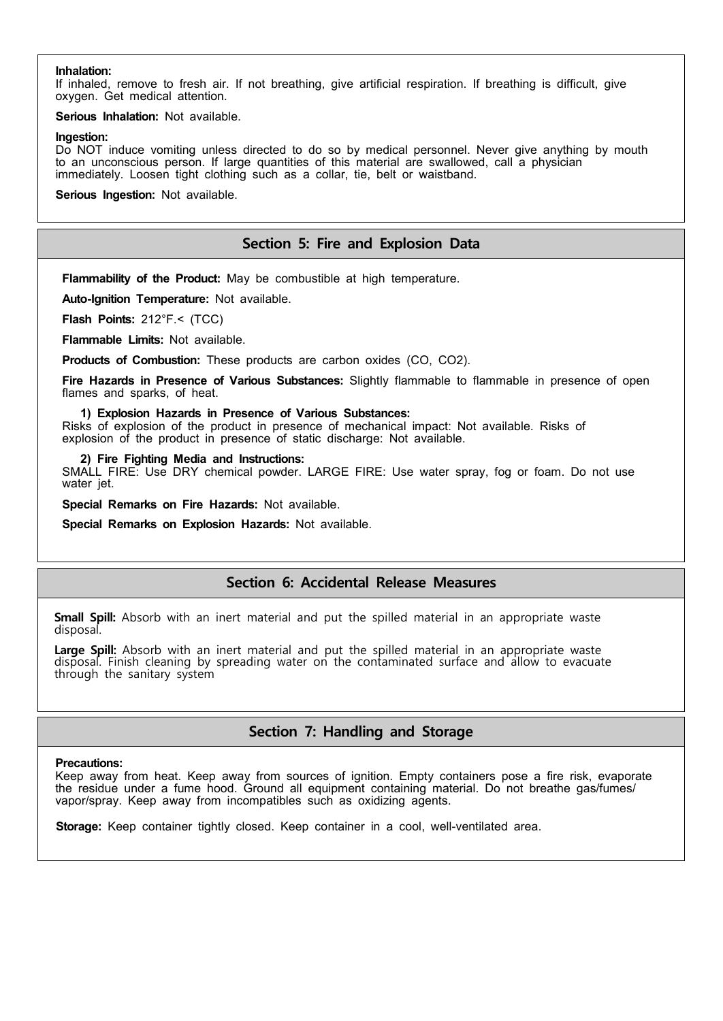#### **Inhalation:**

If inhaled, remove to fresh air. If not breathing, give artificial respiration. If breathing is difficult, give oxygen. Get medical attention.

**Serious Inhalation:** Not available.

#### **Ingestion:**

Do NOT induce vomiting unless directed to do so by medical personnel. Never give anything by mouth to an unconscious person. If large quantities of this material are swallowed, call a physician immediately. Loosen tight clothing such as a collar, tie, belt or waistband.

**Serious Ingestion:** Not available.

### **Section 5: Fire and Explosion Data**

**Flammability of the Product:** May be combustible at high temperature.

**Auto-Ignition Temperature:** Not available.

**Flash Points:** 212°F.< (TCC)

**Flammable Limits:** Not available.

**Products of Combustion:** These products are carbon oxides (CO, CO2).

**Fire Hazards in Presence of Various Substances:** Slightly flammable to flammable in presence of open flames and sparks, of heat.

#### **1) Explosion Hazards in Presence of Various Substances:**

Risks of explosion of the product in presence of mechanical impact: Not available. Risks of explosion of the product in presence of static discharge: Not available.

#### **2) Fire Fighting Media and Instructions:**

SMALL FIRE: Use DRY chemical powder. LARGE FIRE: Use water spray, fog or foam. Do not use water jet.

**Special Remarks on Fire Hazards:** Not available.

**Special Remarks on Explosion Hazards:** Not available.

### **Section 6: Accidental Release Measures**

**Small Spill:** Absorb with an inert material and put the spilled material in an appropriate waste disposal.

Large Spill: Absorb with an inert material and put the spilled material in an appropriate waste disposal. Finish cleaning by spreading water on the contaminated surface and allow to evacuate through the sanitary system

## **Section 7: Handling and Storage**

#### **Precautions:**

Keep away from heat. Keep away from sources of ignition. Empty containers pose a fire risk, evaporate the residue under a fume hood. Ground all equipment containing material. Do not breathe gas/fumes/ vapor/spray. Keep away from incompatibles such as oxidizing agents.

 **Storage:** Keep container tightly closed. Keep container in a cool, well-ventilated area.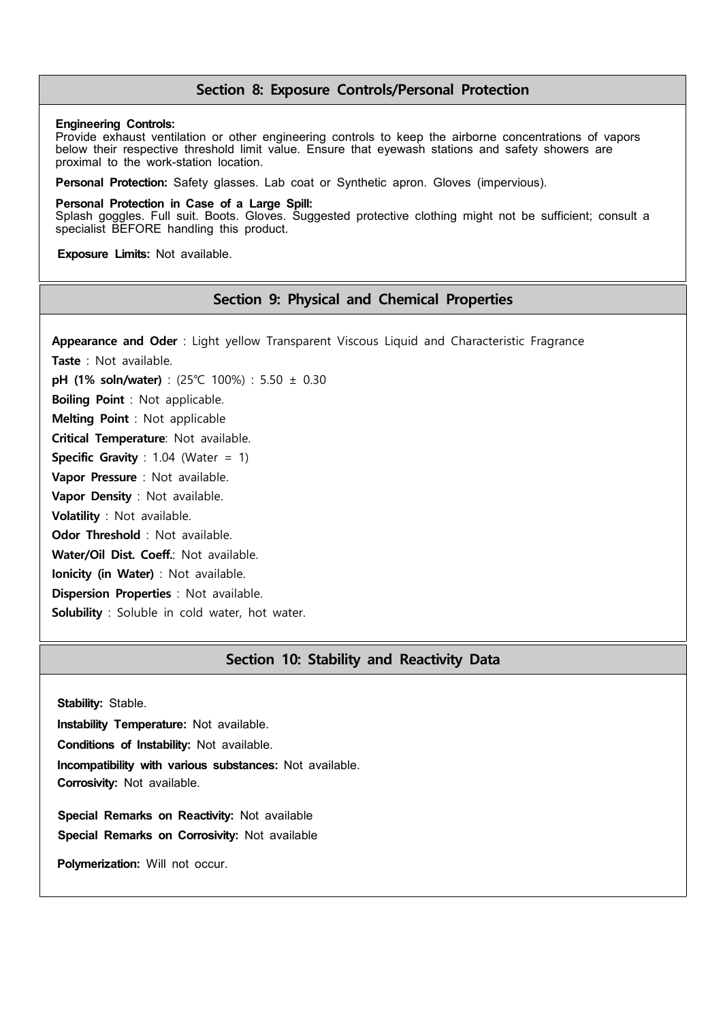### **Section 8: Exposure Controls/Personal Protection**

#### **Engineering Controls:**

Provide exhaust ventilation or other engineering controls to keep the airborne concentrations of vapors below their respective threshold limit value. Ensure that eyewash stations and safety showers are proximal to the work-station location.

**Personal Protection:** Safety glasses. Lab coat or Synthetic apron. Gloves (impervious).

#### **Personal Protection in Case of a Large Spill:**

Splash goggles. Full suit. Boots. Gloves. Suggested protective clothing might not be sufficient; consult a specialist BEFORE handling this product.

 **Exposure Limits:** Not available.

### **Section 9: Physical and Chemical Properties**

 **Appearance and Oder** : Light yellow Transparent Viscous Liquid and Characteristic Fragrance **Taste** : Not available. **pH (1% soln/water)** : (25℃ 100%) : 5.50 ± 0.30 **Boiling Point** : Not applicable. **Melting Point** : Not applicable **Critical Temperature**: Not available. **Specific Gravity** : 1.04 (Water = 1) **Vapor Pressure** : Not available. **Vapor Density** : Not available. **Volatility** : Not available. **Odor Threshold** : Not available. **Water/Oil Dist. Coeff.**: Not available. **Ionicity (in Water)** : Not available. **Dispersion Properties** : Not available. **Solubility** : Soluble in cold water, hot water.

### **Section 10: Stability and Reactivity Data**

**Stability:** Stable.

**Instability Temperature:** Not available.

**Conditions of Instability:** Not available.

**Incompatibility with various substances:** Not available.

**Corrosivity:** Not available.

 **Special Remarks on Reactivity:** Not available  **Special Remarks on Corrosivity:** Not available

**Polymerization:** Will not occur.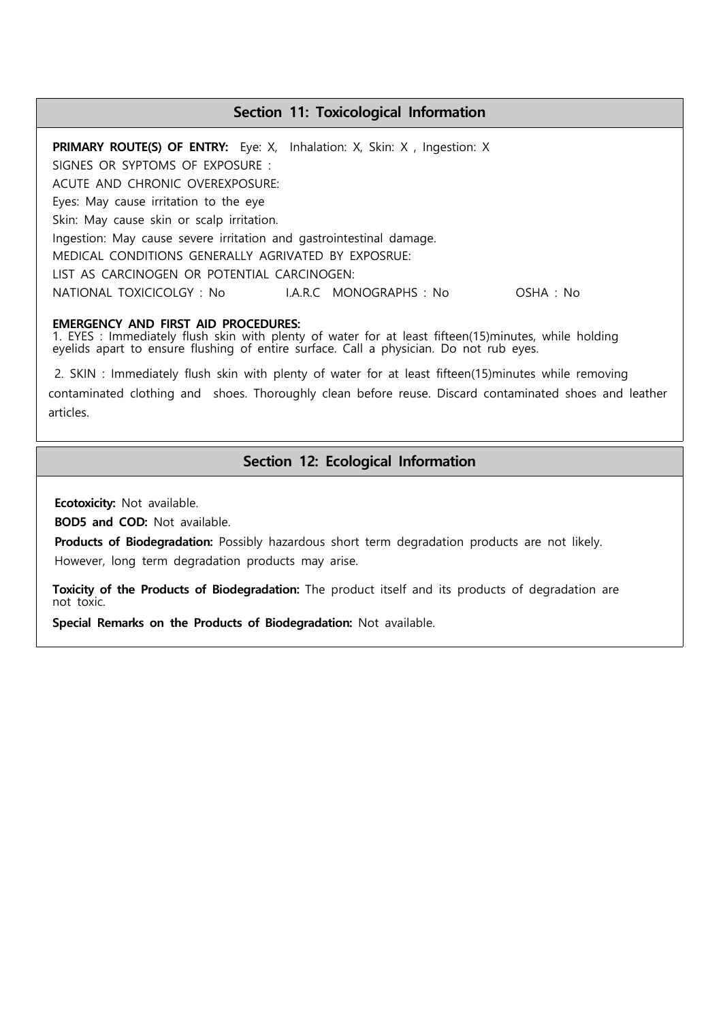### **Section 11: Toxicological Information**

**PRIMARY ROUTE(S) OF ENTRY:** Eye: X, Inhalation: X, Skin: X, Ingestion: X SIGNES OR SYPTOMS OF EXPOSURE : ACUTE AND CHRONIC OVEREXPOSURE: Eyes: May cause irritation to the eye Skin: May cause skin or scalp irritation. Ingestion: May cause severe irritation and gastrointestinal damage. MEDICAL CONDITIONS GENERALLY AGRIVATED BY EXPOSRUE: LIST AS CARCINOGEN OR POTENTIAL CARCINOGEN: NATIONAL TOXICICOLGY : No I.A.R.C MONOGRAPHS : No OSHA : No

**EMERGENCY AND FIRST AID PROCEDURES:**<br>1. EYES : Immediately flush skin with plenty of water for at least fifteen(15)minutes, while holding eyelids apart to ensure flushing of entire surface. Call a physician. Do not rub eyes.<br>2. SKIN : Immediately flush skin with plenty of water for at least fifteen(15)minutes while removing

contaminated clothing and shoes. Thoroughly clean before reuse. Discard contaminated shoes and leather articles.

### **Section 12: Ecological Information**

**Ecotoxicity:** Not available.

 **BOD5 and COD:** Not available.

 **Products of Biodegradation:** Possibly hazardous short term degradation products are not likely. However, long term degradation products may arise.

**Toxicity of the Products of Biodegradation:** The product itself and its products of degradation are not toxic.

**Special Remarks on the Products of Biodegradation:** Not available.